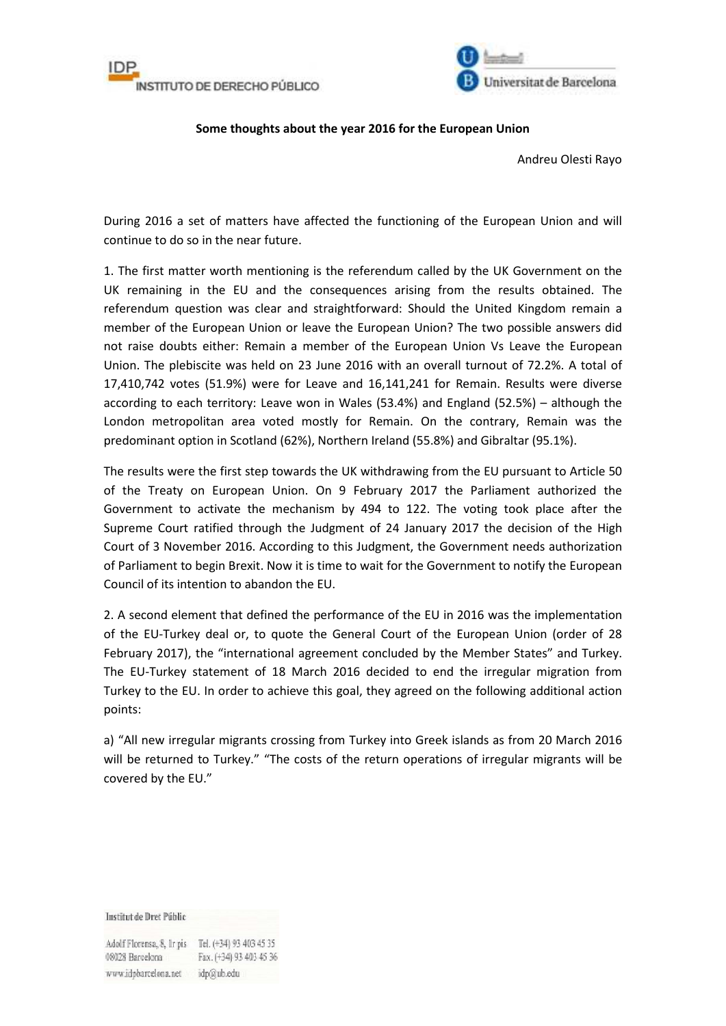



## **Some thoughts about the year 2016 for the European Union**

Andreu Olesti Rayo

During 2016 a set of matters have affected the functioning of the European Union and will continue to do so in the near future.

1. The first matter worth mentioning is the referendum called by the UK Government on the UK remaining in the EU and the consequences arising from the results obtained. The referendum question was clear and straightforward: Should the United Kingdom remain a member of the European Union or leave the European Union? The two possible answers did not raise doubts either: Remain a member of the European Union Vs Leave the European Union. The plebiscite was held on 23 June 2016 with an overall turnout of 72.2%. A total of 17,410,742 votes (51.9%) were for Leave and 16,141,241 for Remain. Results were diverse according to each territory: Leave won in Wales (53.4%) and England (52.5%) – although the London metropolitan area voted mostly for Remain. On the contrary, Remain was the predominant option in Scotland (62%), Northern Ireland (55.8%) and Gibraltar (95.1%).

The results were the first step towards the UK withdrawing from the EU pursuant to Article 50 of the Treaty on European Union. On 9 February 2017 the Parliament authorized the Government to activate the mechanism by 494 to 122. The voting took place after the Supreme Court ratified through the Judgment of 24 January 2017 the decision of the High Court of 3 November 2016. According to this Judgment, the Government needs authorization of Parliament to begin Brexit. Now it is time to wait for the Government to notify the European Council of its intention to abandon the EU.

2. A second element that defined the performance of the EU in 2016 was the implementation of the EU-Turkey deal or, to quote the General Court of the European Union (order of 28 February 2017), the "international agreement concluded by the Member States" and Turkey. The EU-Turkey statement of 18 March 2016 decided to end the irregular migration from Turkey to the EU. In order to achieve this goal, they agreed on the following additional action points:

a) "All new irregular migrants crossing from Turkey into Greek islands as from 20 March 2016 will be returned to Turkey." "The costs of the return operations of irregular migrants will be covered by the EU."

Institut de Dret Públic

Adolf Florensa, 8, Ir pis Tel. (+34) 93 403 45 35 08028 Barcelona Fax. (+34) 93 403 45 36 www.idpbarcelona.net idp@ub.edu